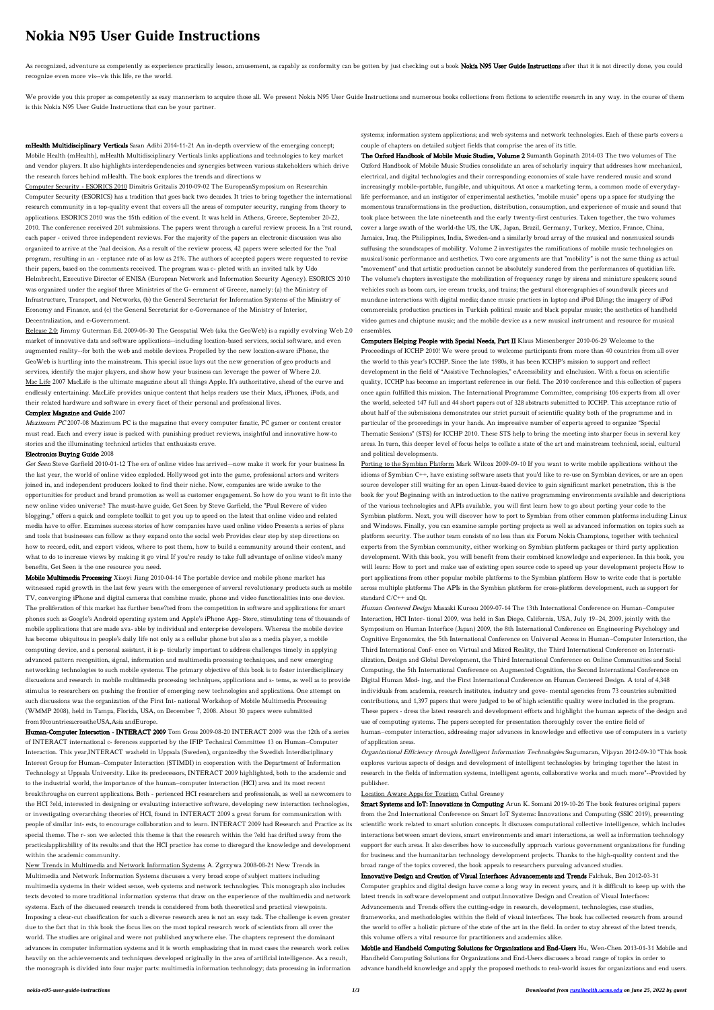# **Nokia N95 User Guide Instructions**

As recognized, adventure as competently as experience practically lesson, amusement, as capably as conformity can be gotten by just checking out a book Nokia N95 User Guide Instructions after that it is not directly done, recognize even more vis--vis this life, re the world.

We provide you this proper as competently as easy mannerism to acquire those all. We present Nokia N95 User Guide Instructions and numerous books collections from fictions to scientific research in any way. in the course o is this Nokia N95 User Guide Instructions that can be your partner.

mHealth Multidisciplinary Verticals Sasan Adibi 2014-11-21 An in-depth overview of the emerging concept; Mobile Health (mHealth), mHealth Multidisciplinary Verticals links applications and technologies to key market and vendor players. It also highlights interdependencies and synergies between various stakeholders which drive the research forces behind mHealth. The book explores the trends and directions w

Release 2.0: Jimmy Guterman Ed. 2009-06-30 The Geospatial Web (aka the GeoWeb) is a rapidly evolving Web 2.0 market of innovative data and software applications--including location-based services, social software, and even augmented reality--for both the web and mobile devices. Propelled by the new location-aware iPhone, the GeoWeb is hurtling into the mainstream. This special issue lays out the new generation of geo products and services, identify the major players, and show how your business can leverage the power of Where 2.0. Mac Life 2007 MacLife is the ultimate magazine about all things Apple. It's authoritative, ahead of the curve and endlessly entertaining. MacLife provides unique content that helps readers use their Macs, iPhones, iPods, and their related hardware and software in every facet of their personal and professional lives.

Computer Security - ESORICS 2010 Dimitris Gritzalis 2010-09-02 The EuropeanSymposium on Researchin Computer Security (ESORICS) has a tradition that goes back two decades. It tries to bring together the international research community in a top-quality event that covers all the areas of computer security, ranging from theory to applications. ESORICS 2010 was the 15th edition of the event. It was held in Athens, Greece, September 20-22, 2010. The conference received 201 submissions. The papers went through a careful review process. In a ?rst round, each paper - ceived three independent reviews. For the majority of the papers an electronic discussion was also organized to arrive at the ?nal decision. As a result of the review process, 42 papers were selected for the ?nal program, resulting in an - ceptance rate of as low as 21%. The authors of accepted papers were requested to revise their papers, based on the comments received. The program was c- pleted with an invited talk by Udo Helmbrecht, Executive Director of ENISA (European Network and Information Security Agency). ESORICS 2010 was organized under the aegisof three Ministries of the G- ernment of Greece, namely: (a) the Ministry of Infrastructure, Transport, and Networks, (b) the General Secretariat for Information Systems of the Ministry of Economy and Finance, and (c) the General Secretariat for e-Governance of the Ministry of Interior, Decentralization, and e-Government.

### Complex Magazine and Guide 2007

Maximum PC 2007-08 Maximum PC is the magazine that every computer fanatic, PC gamer or content creator must read. Each and every issue is packed with punishing product reviews, insightful and innovative how-to stories and the illuminating technical articles that enthusiasts crave.

### Electronics Buying Guide 2008

Get Seen Steve Garfield 2010-01-12 The era of online video has arrived—now make it work for your business In the last year, the world of online video exploded. Hollywood got into the game, professional actors and writers joined in, and independent producers looked to find their niche. Now, companies are wide awake to the opportunities for product and brand promotion as well as customer engagement. So how do you want to fit into the new online video universe? The must-have guide, Get Seen by Steve Garfield, the "Paul Revere of video blogging," offers a quick and complete toolkit to get you up to speed on the latest that online video and related media have to offer. Examines success stories of how companies have used online video Presents a series of plans and tools that businesses can follow as they expand onto the social web Provides clear step by step directions on how to record, edit, and export videos, where to post them, how to build a community around their content, and what to do to increase views by making it go viral If you're ready to take full advantage of online video's many benefits, Get Seen is the one resource you need. Mobile Multimedia Processing Xiaoyi Jiang 2010-04-14 The portable device and mobile phone market has witnessed rapid growth in the last few years with the emergence of several revolutionary products such as mobile TV, converging iPhone and digital cameras that combine music, phone and video functionalities into one device. The proliferation of this market has further bene?ted from the competition in software and applications for smart phones such as Google's Android operating system and Apple's iPhone App- Store, stimulating tens of thousands of mobile applications that are made ava- able by individual and enterprise developers. Whereas the mobile device has become ubiquitous in people's daily life not only as a cellular phone but also as a media player, a mobile computing device, and a personal assistant, it is p- ticularly important to address challenges timely in applying advanced pattern recognition, signal, information and multimedia processing techniques, and new emerging networking technologies to such mobile systems. The primary objective of this book is to foster interdisciplinary discussions and research in mobile multimedia processing techniques, applications and s- tems, as well as to provide stimulus to researchers on pushing the frontier of emerging new technologies and applications. One attempt on such discussions was the organization of the First Int- national Workshop of Mobile Multimedia Processing (WMMP 2008), held in Tampa, Florida, USA, on December 7, 2008. About 30 papers were submitted from10countriesacrosstheUSA,Asia andEurope. Human-Computer Interaction - INTERACT 2009 Tom Gross 2009-08-20 INTERACT 2009 was the 12th of a series of INTERACT international c- ferences supported by the IFIP Technical Committee 13 on Human–Computer Interaction. This year,INTERACT washeld in Uppsala (Sweden), organizedby the Swedish Interdisciplinary Interest Group for Human–Computer Interaction (STIMDI) in cooperation with the Department of Information Technology at Uppsala University. Like its predecessors, INTERACT 2009 highlighted, both to the academic and to the industrial world, the importance of the human–computer interaction (HCI) area and its most recent breakthroughs on current applications. Both - perienced HCI researchers and professionals, as well as newcomers to the HCI ?eld, interested in designing or evaluating interactive software, developing new interaction technologies, or investigating overarching theories of HCI, found in INTERACT 2009 a great forum for communication with people of similar int- ests, to encourage collaboration and to learn. INTERACT 2009 had Research and Practice as its special theme. The r- son we selected this theme is that the research within the ?eld has drifted away from the practicalapplicability of its results and that the HCI practice has come to disregard the knowledge and development within the academic community. New Trends in Multimedia and Network Information Systems A. Zgrzywa 2008-08-21 New Trends in Multimedia and Network Information Systems discusses a very broad scope of subject matters including multimedia systems in their widest sense, web systems and network technologies. This monograph also includes texts devoted to more traditional information systems that draw on the experience of the multimedia and network systems. Each of the discussed research trends is considered from both theoretical and practical viewpoints. Imposing a clear-cut classification for such a diverse research area is not an easy task. The challenge is even greater due to the fact that in this book the focus lies on the most topical research work of scientists from all over the world. The studies are original and were not published anywhere else. The chapters represent the dominant advances in computer information systems and it is worth emphasizing that in most cases the research work relies heavily on the achievements and techniques developed originally in the area of artificial intelligence. As a result, the monograph is divided into four major parts: multimedia information technology; data processing in information

systems; information system applications; and web systems and network technologies. Each of these parts covers a couple of chapters on detailed subject fields that comprise the area of its title.

The Oxford Handbook of Mobile Music Studies, Volume 2 Sumanth Gopinath 2014-03 The two volumes of The Oxford Handbook of Mobile Music Studies consolidate an area of scholarly inquiry that addresses how mechanical, electrical, and digital technologies and their corresponding economies of scale have rendered music and sound increasingly mobile-portable, fungible, and ubiquitous. At once a marketing term, a common mode of everydaylife performance, and an instigator of experimental aesthetics, "mobile music" opens up a space for studying the momentous transformations in the production, distribution, consumption, and experience of music and sound that took place between the late nineteenth and the early twenty-first centuries. Taken together, the two volumes cover a large swath of the world-the US, the UK, Japan, Brazil, Germany, Turkey, Mexico, France, China, Jamaica, Iraq, the Philippines, India, Sweden-and a similarly broad array of the musical and nonmusical sounds suffusing the soundscapes of mobility. Volume 2 investigates the ramifications of mobile music technologies on musical/sonic performance and aesthetics. Two core arguments are that "mobility" is not the same thing as actual "movement" and that artistic production cannot be absolutely sundered from the performances of quotidian life. The volume's chapters investigate the mobilization of frequency range by sirens and miniature speakers; sound vehicles such as boom cars, ice cream trucks, and trains; the gestural choreographies of soundwalk pieces and mundane interactions with digital media; dance music practices in laptop and iPod DJing; the imagery of iPod commercials; production practices in Turkish political music and black popular music; the aesthetics of handheld video games and chiptune music; and the mobile device as a new musical instrument and resource for musical ensembles.

Computers Helping People with Special Needs, Part II Klaus Miesenberger 2010-06-29 Welcome to the Proceedings of ICCHP 2010! We were proud to welcome participants from more than 40 countries from all over the world to this year's ICCHP. Since the late 1980s, it has been ICCHP's mission to support and reflect development in the field of "Assistive Technologies," eAccessibility and eInclusion. With a focus on scientific quality, ICCHP has become an important reference in our field. The 2010 conference and this collection of papers once again fulfilled this mission. The International Programme Committee, comprising 106 experts from all over the world, selected 147 full and 44 short papers out of 328 abstracts submitted to ICCHP. This acceptance ratio of about half of the submissions demonstrates our strict pursuit of scientific quality both of the programme and in particular of the proceedings in your hands. An impressive number of experts agreed to organize "Special Thematic Sessions" (STS) for ICCHP 2010. These STS help to bring the meeting into sharper focus in several key areas. In turn, this deeper level of focus helps to collate a state of the art and mainstream technical, social, cultural and political developments.

Porting to the Symbian Platform Mark Wilcox 2009-09-10 If you want to write mobile applications without the idioms of Symbian C++, have existing software assets that you'd like to re-use on Symbian devices, or are an open source developer still waiting for an open Linux-based device to gain significant market penetration, this is the book for you! Beginning with an introduction to the native programming environments available and descriptions of the various technologies and APIs available, you will first learn how to go about porting your code to the Symbian platform. Next, you will discover how to port to Symbian from other common platforms including Linux and Windows. Finally, you can examine sample porting projects as well as advanced information on topics such as platform security. The author team consists of no less than six Forum Nokia Champions, together with technical experts from the Symbian community, either working on Symbian platform packages or third party application development. With this book, you will benefit from their combined knowledge and experience. In this book, you will learn: How to port and make use of existing open source code to speed up your development projects How to port applications from other popular mobile platforms to the Symbian platform How to write code that is portable across multiple platforms The APIs in the Symbian platform for cross-platform development, such as support for standard C/C++ and Qt. Human Centered Design Masaaki Kurosu 2009-07-14 The 13th International Conference on Human–Computer Interaction, HCI Inter- tional 2009, was held in San Diego, California, USA, July 19–24, 2009, jointly with the Symposium on Human Interface (Japan) 2009, the 8th International Conference on Engineering Psychology and Cognitive Ergonomics, the 5th International Conference on Universal Access in Human–Computer Interaction, the Third International Conf- ence on Virtual and Mixed Reality, the Third International Conference on Internatialization, Design and Global Development, the Third International Conference on Online Communities and Social Computing, the 5th International Conference on Augmented Cognition, the Second International Conference on Digital Human Mod- ing, and the First International Conference on Human Centered Design. A total of 4,348 individuals from academia, research institutes, industry and gove- mental agencies from 73 countries submitted contributions, and 1,397 papers that were judged to be of high scientific quality were included in the program. These papers - dress the latest research and development efforts and highlight the human aspects of the design and use of computing systems. The papers accepted for presentation thoroughly cover the entire field of human–computer interaction, addressing major advances in knowledge and effective use of computers in a variety of application areas.

Organizational Efficiency through Intelligent Information Technologies Sugumaran, Vijayan 2012-09-30 "This book explores various aspects of design and development of intelligent technologies by bringing together the latest in research in the fields of information systems, intelligent agents, collaborative works and much more"--Provided by publisher.

#### Location Aware Apps for Tourism Cathal Greaney

Smart Systems and IoT: Innovations in Computing Arun K. Somani 2019-10-26 The book features original papers from the 2nd International Conference on Smart IoT Systems: Innovations and Computing (SSIC 2019), presenting scientific work related to smart solution concepts. It discusses computational collective intelligence, which includes interactions between smart devices, smart environments and smart interactions, as well as information technology support for such areas. It also describes how to successfully approach various government organizations for funding for business and the humanitarian technology development projects. Thanks to the high-quality content and the broad range of the topics covered, the book appeals to researchers pursuing advanced studies.

Innovative Design and Creation of Visual Interfaces: Advancements and Trends Falchuk, Ben 2012-03-31 Computer graphics and digital design have come a long way in recent years, and it is difficult to keep up with the latest trends in software development and output.Innovative Design and Creation of Visual Interfaces: Advancements and Trends offers the cutting-edge in research, development, technologies, case studies, frameworks, and methodologies within the field of visual interfaces. The book has collected research from around the world to offer a holistic picture of the state of the art in the field. In order to stay abreast of the latest trends, this volume offers a vital resource for practitioners and academics alike.

Mobile and Handheld Computing Solutions for Organizations and End-Users Hu, Wen-Chen 2013-01-31 Mobile and Handheld Computing Solutions for Organizations and End-Users discusses a broad range of topics in order to advance handheld knowledge and apply the proposed methods to real-world issues for organizations and end users.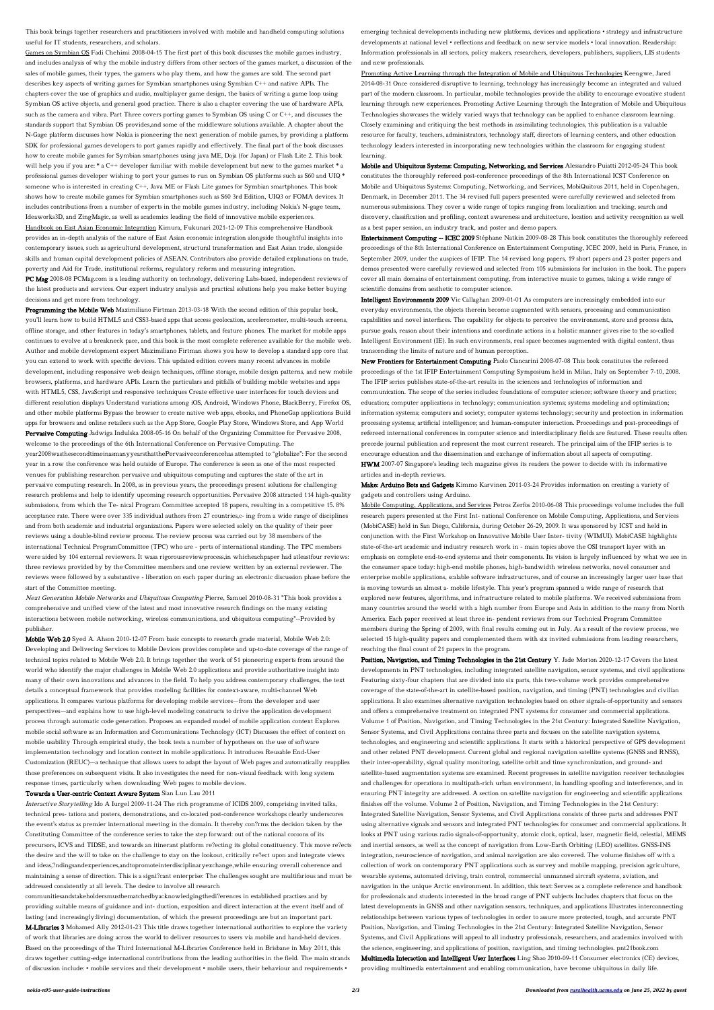This book brings together researchers and practitioners involved with mobile and handheld computing solutions useful for IT students, researchers, and scholars.

Games on Symbian OS Fadi Chehimi 2008-04-15 The first part of this book discusses the mobile games industry, and includes analysis of why the mobile industry differs from other sectors of the games market, a discussion of the sales of mobile games, their types, the gamers who play them, and how the games are sold. The second part describes key aspects of writing games for Symbian smartphones using Symbian C++ and native APIs. The chapters cover the use of graphics and audio, multiplayer game design, the basics of writing a game loop using Symbian OS active objects, and general good practice. There is also a chapter covering the use of hardware APIs, such as the camera and vibra. Part Three covers porting games to Symbian OS using C or C++, and discusses the standards support that Symbian OS provides,and some of the middleware solutions available. A chapter about the N-Gage platform discusses how Nokia is pioneering the next generation of mobile games, by providing a platform SDK for professional games developers to port games rapidly and effectively. The final part of the book discusses how to create mobile games for Symbian smartphones using java ME, Doja (for Japan) or Flash Lite 2. This book will help you if you are: \* a C++ developer familiar with mobile development but new to the games market \* a professional games developer wishing to port your games to run on Symbian OS platforms such as S60 and UIQ \* someone who is interested in creating C++, Java ME or Flash Lite games for Symbian smartphones. This book shows how to create mobile games for Symbian smartphones such as S60 3rd Edition, UIQ3 or FOMA devices. It includes contributions from a number of experts in the mobile games industry, including Nokia's N-gage team, Ideaworks3D, and ZingMagic, as well as academics leading the field of innovative mobile experiences. Handbook on East Asian Economic Integration Kimura, Fukunari 2021-12-09 This comprehensive Handbook provides an in-depth analysis of the nature of East Asian economic integration alongside thoughtful insights into contemporary issues, such as agricultural development, structural transformation and East Asian trade, alongside skills and human capital development policies of ASEAN. Contributors also provide detailed explanations on trade, poverty and Aid for Trade, institutional reforms, regulatory reform and measuring integration.

PC Mag 2008-08 PCMag.com is a leading authority on technology, delivering Labs-based, independent reviews of the latest products and services. Our expert industry analysis and practical solutions help you make better buying decisions and get more from technology.

Programming the Mobile Web Maximiliano Firtman 2013-03-18 With the second edition of this popular book, you'll learn how to build HTML5 and CSS3-based apps that access geolocation, accelerometer, multi-touch screens, offline storage, and other features in today's smartphones, tablets, and feature phones. The market for mobile apps continues to evolve at a breakneck pace, and this book is the most complete reference available for the mobile web. Author and mobile development expert Maximiliano Firtman shows you how to develop a standard app core that you can extend to work with specific devices. This updated edition covers many recent advances in mobile development, including responsive web design techniques, offline storage, mobile design patterns, and new mobile browsers, platforms, and hardware APIs. Learn the particulars and pitfalls of building mobile websites and apps with HTML5, CSS, JavaScript and responsive techniques Create effective user interfaces for touch devices and different resolution displays Understand variations among iOS, Android, Windows Phone, BlackBerry, Firefox OS, and other mobile platforms Bypass the browser to create native web apps, ebooks, and PhoneGap applications Build apps for browsers and online retailers such as the App Store, Google Play Store, Windows Store, and App World Pervasive Computing Jadwiga Indulska 2008-05-16 On behalf of the Organizing Committee for Pervasive 2008, welcome to the proceedings of the 6th International Conference on Pervasive Computing. The year2008wasthesecondtimeinasmanyyearsthatthePervasiveconferencehas attempted to "globalize": For the second year in a row the conference was held outside of Europe. The conference is seen as one of the most respected venues for publishing researchon pervasive and ubiquitous computing and captures the state of the art in pervasive computing research. In 2008, as in previous years, the proceedings present solutions for challenging research problems and help to identify upcoming research opportunities. Pervasive 2008 attracted 114 high-quality submissions, from which the Te- nical Program Committee accepted 18 papers, resulting in a competitive 15. 8% acceptance rate. There were over 335 individual authors from 27 countries,c- ing from a wide range of disciplines and from both academic and industrial organizations. Papers were selected solely on the quality of their peer reviews using a double-blind review process. The review process was carried out by 38 members of the international Technical ProgramCommittee (TPC) who are - perts of international standing. The TPC members were aided by 104 external reviewers. It wasa rigorousreviewprocess,in whicheachpaper had atleastfour reviews: three reviews provided by by the Committee members and one review written by an external reviewer. The reviews were followed by a substantive - liberation on each paper during an electronic discussion phase before the start of the Committee meeting.

Next Generation Mobile Networks and Ubiquitous Computing Pierre, Samuel 2010-08-31 "This book provides a comprehensive and unified view of the latest and most innovative research findings on the many existing interactions between mobile networking, wireless communications, and ubiquitous computing"--Provided by publisher.

Mobile Web 2.0 Syed A. Ahson 2010-12-07 From basic concepts to research grade material, Mobile Web 2.0: Developing and Delivering Services to Mobile Devices provides complete and up-to-date coverage of the range of technical topics related to Mobile Web 2.0. It brings together the work of 51 pioneering experts from around the world who identify the major challenges in Mobile Web 2.0 applications and provide authoritative insight into many of their own innovations and advances in the field. To help you address contemporary challenges, the text details a conceptual framework that provides modeling facilities for context-aware, multi-channel Web applications. It compares various platforms for developing mobile services—from the developer and user perspectives—and explains how to use high-level modeling constructs to drive the application development process through automatic code generation. Proposes an expanded model of mobile application context Explores mobile social software as an Information and Communications Technology (ICT) Discusses the effect of context on mobile usability Through empirical study, the book tests a number of hypotheses on the use of software implementation technology and location context in mobile applications. It introduces Reusable End-User Customization (REUC)—a technique that allows users to adapt the layout of Web pages and automatically reapplies those preferences on subsequent visits. It also investigates the need for non-visual feedback with long system response times, particularly when downloading Web pages to mobile devices.

## Towards a User-centric Context Aware System Sian Lun Lau 2011

Interactive Storytelling Ido A Iurgel 2009-11-24 The rich programme of ICIDS 2009, comprising invited talks, technical pres- tations and posters, demonstrations, and co-located post-conference workshops clearly underscores the event's status as premier international meeting in the domain. It thereby con?rms the decision taken by the Constituting Committee of the conference series to take the step forward: out of the national cocoons of its precursors, ICVS and TIDSE, and towards an itinerant platform re?ecting its global constituency. This move re?ects the desire and the will to take on the challenge to stay on the lookout, critically re?ect upon and integrate views and ideas,?ndingsandexperiences,andtopromoteinterdisciplinaryexchange,while ensuring overall coherence and maintaining a sense of direction. This is a signi?cant enterprise: The challenges sought are multifarious and must be addressed consistently at all levels. The desire to involve all research

communitiesandstakeholdersmustbematchedbyacknowledgingthedi?erences in established practises and by providing suitable means of guidance and int- duction, exposition and direct interaction at the event itself and of lasting (and increasingly:living) documentation, of which the present proceedings are but an important part. M-Libraries 3 Mohamed Ally 2012-01-23 This title draws together international authorities to explore the variety of work that libraries are doing across the world to deliver resources to users via mobile and hand-held devices. Based on the proceedings of the Third International M-Libraries Conference held in Brisbane in May 2011, this draws together cutting-edge international contributions from the leading authorities in the field. The main strands of discussion include: • mobile services and their development • mobile users, their behaviour and requirements •

emerging technical developments including new platforms, devices and applications • strategy and infrastructure developments at national level • reflections and feedback on new service models • local innovation. Readership: Information professionals in all sectors, policy makers, researchers, developers, publishers, suppliers, LIS students and new professionals.

Promoting Active Learning through the Integration of Mobile and Ubiquitous Technologies Keengwe, Jared 2014-08-31 Once considered disruptive to learning, technology has increasingly become an integrated and valued part of the modern classroom. In particular, mobile technologies provide the ability to encourage evocative student learning through new experiences. Promoting Active Learning through the Integration of Mobile and Ubiquitous Technologies showcases the widely varied ways that technology can be applied to enhance classroom learning. Closely examining and critiquing the best methods in assimilating technologies, this publication is a valuable resource for faculty, teachers, administrators, technology staff, directors of learning centers, and other education technology leaders interested in incorporating new technologies within the classroom for engaging student learning.

Mobile and Ubiquitous Systems: Computing, Networking, and Services Alessandro Puiatti 2012-05-24 This book constitutes the thoroughly refereed post-conference proceedings of the 8th International ICST Conference on Mobile and Ubiquitous Systems: Computing, Networking, and Services, MobiQuitous 2011, held in Copenhagen, Denmark, in December 2011. The 34 revised full papers presented were carefully reviewed and selected from numerous submissions. They cover a wide range of topics ranging from localization and tracking, search and discovery, classification and profiling, context awareness and architecture, location and activity recognition as well as a best paper session, an industry track, and poster and demo papers.

Entertainment Computing -- ICEC 2009 Stéphane Natkin 2009-08-28 This book constitutes the thoroughly refereed proceedings of the 8th International Conference on Entertainment Computing, ICEC 2009, held in Paris, France, in September 2009, under the auspices of IFIP. The 14 revised long papers, 19 short papers and 23 poster papers and demos presented were carefully reviewed and selected from 105 submissions for inclusion in the book. The papers cover all main domains of entertainment computing, from interactive music to games, taking a wide range of scientific domains from aesthetic to computer science.

Intelligent Environments 2009 Vic Callaghan 2009-01-01 As computers are increasingly embedded into our everyday environments, the objects therein become augmented with sensors, processing and communication capabilities and novel interfaces. The capability for objects to perceive the environment, store and process data, pursue goals, reason about their intentions and coordinate actions in a holistic manner gives rise to the so-called Intelligent Environment (IE). In such environments, real space becomes augmented with digital content, thus transcending the limits of nature and of human perception.

New Frontiers for Entertainment Computing Paolo Ciancarini 2008-07-08 This book constitutes the refereed proceedings of the 1st IFIP Entertainment Computing Symposium held in Milan, Italy on September 7-10, 2008. The IFIP series publishes state-of-the-art results in the sciences and technologies of information and communication. The scope of the series includes: foundations of computer science; software theory and practice; education; computer applications in technology; communication systems; systems modeling and optimization; information systems; computers and society; computer systems technology; security and protection in information processing systems; artificial intelligence; and human-computer interaction. Proceedings and post-proceedings of refereed international conferences in computer science and interdisciplinary fields are featured. These results often precede journal publication and represent the most current research. The principal aim of the IFIP series is to encourage education and the dissemination and exchange of information about all aspects of computing. HWM 2007-07 Singapore's leading tech magazine gives its readers the power to decide with its informative

articles and in-depth reviews.

Make: Arduino Bots and Gadgets Kimmo Karvinen 2011-03-24 Provides information on creating a variety of gadgets and controllers using Arduino.

Mobile Computing, Applications, and Services Petros Zerfos 2010-06-08 This proceedings volume includes the full research papers presented at the First Int- national Conference on Mobile Computing, Applications, and Services (MobiCASE) held in San Diego, California, during October 26-29, 2009. It was sponsored by ICST and held in conjunction with the First Workshop on Innovative Mobile User Inter- tivity (WIMUI). MobiCASE highlights state-of-the-art academic and industry research work in - main topics above the OSI transport layer with an emphasis on complete end-to-end systems and their components. Its vision is largely influenced by what we see in the consumer space today: high-end mobile phones, high-bandwidth wireless networks, novel consumer and enterprise mobile applications, scalable software infrastructures, and of course an increasingly larger user base that is moving towards an almost a- mobile lifestyle. This year's program spanned a wide range of research that explored new features, algorithms, and infrastructure related to mobile platforms. We received submissions from many countries around the world with a high number from Europe and Asia in addition to the many from North America. Each paper received at least three in- pendent reviews from our Technical Program Committee members during the Spring of 2009, with final results coming out in July. As a result of the review process, we selected 15 high-quality papers and complemented them with six invited submissions from leading researchers, reaching the final count of 21 papers in the program. Position, Navigation, and Timing Technologies in the 21st Century Y. Jade Morton 2020-12-17 Covers the latest developments in PNT technologies, including integrated satellite navigation, sensor systems, and civil applications Featuring sixty-four chapters that are divided into six parts, this two-volume work provides comprehensive coverage of the state-of-the-art in satellite-based position, navigation, and timing (PNT) technologies and civilian applications. It also examines alternative navigation technologies based on other signals-of-opportunity and sensors and offers a comprehensive treatment on integrated PNT systems for consumer and commercial applications. Volume 1 of Position, Navigation, and Timing Technologies in the 21st Century: Integrated Satellite Navigation, Sensor Systems, and Civil Applications contains three parts and focuses on the satellite navigation systems, technologies, and engineering and scientific applications. It starts with a historical perspective of GPS development and other related PNT development. Current global and regional navigation satellite systems (GNSS and RNSS), their inter-operability, signal quality monitoring, satellite orbit and time synchronization, and ground- and satellite-based augmentation systems are examined. Recent progresses in satellite navigation receiver technologies and challenges for operations in multipath-rich urban environment, in handling spoofing and interference, and in ensuring PNT integrity are addressed. A section on satellite navigation for engineering and scientific applications finishes off the volume. Volume 2 of Position, Navigation, and Timing Technologies in the 21st Century: Integrated Satellite Navigation, Sensor Systems, and Civil Applications consists of three parts and addresses PNT using alternative signals and sensors and integrated PNT technologies for consumer and commercial applications. It looks at PNT using various radio signals-of-opportunity, atomic clock, optical, laser, magnetic field, celestial, MEMS and inertial sensors, as well as the concept of navigation from Low-Earth Orbiting (LEO) satellites. GNSS-INS integration, neuroscience of navigation, and animal navigation are also covered. The volume finishes off with a collection of work on contemporary PNT applications such as survey and mobile mapping, precision agriculture, wearable systems, automated driving, train control, commercial unmanned aircraft systems, aviation, and navigation in the unique Arctic environment. In addition, this text: Serves as a complete reference and handbook for professionals and students interested in the broad range of PNT subjects Includes chapters that focus on the latest developments in GNSS and other navigation sensors, techniques, and applications Illustrates interconnecting relationships between various types of technologies in order to assure more protected, tough, and accurate PNT Position, Navigation, and Timing Technologies in the 21st Century: Integrated Satellite Navigation, Sensor Systems, and Civil Applications will appeal to all industry professionals, researchers, and academics involved with the science, engineering, and applications of position, navigation, and timing technologies. pnt21book.com Multimedia Interaction and Intelligent User Interfaces Ling Shao 2010-09-11 Consumer electronics (CE) devices, providing multimedia entertainment and enabling communication, have become ubiquitous in daily life.